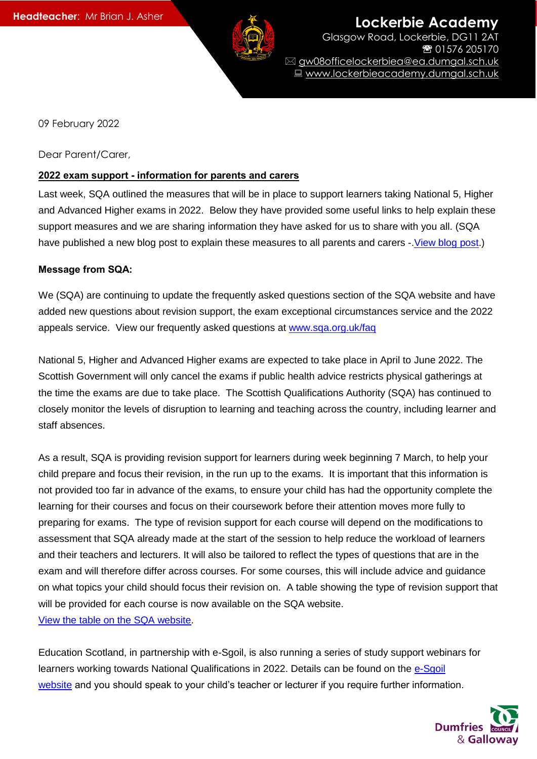

**Lockerbie Academy** Glasgow Road, Lockerbie, DG11 2AT 01576 205170 gw08officelockerbiea@ea.dumgal.sch.uk ■ www.lockerbieacademy.dumgal.sch.uk

09 February 2022

Dear Parent/Carer,

### **2022 exam support - information for parents and carers**

Last week, SQA outlined the measures that will be in place to support learners taking National 5, Higher and Advanced Higher exams in 2022. Below they have provided some useful links to help explain these support measures and we are sharing information they have asked for us to share with you all. (SQA have published a new blog post to explain these measures to all parents and carers -. View blog post.)

### **Message from SQA:**

We (SQA) are continuing to update the frequently asked questions section of the SQA website and have added new questions about revision support, the exam exceptional circumstances service and the 2022 appeals service. View our frequently asked questions at [www.sqa.org.uk/faq](http://www.sqa.org.uk/faq?utm_source=sqanews&utm_medium=email&utm_campaign=nq2022&utm_content=nq2022-faq)

National 5, Higher and Advanced Higher exams are expected to take place in April to June 2022. The Scottish Government will only cancel the exams if public health advice restricts physical gatherings at the time the exams are due to take place. The Scottish Qualifications Authority (SQA) has continued to closely monitor the levels of disruption to learning and teaching across the country, including learner and staff absences.

As a result, SQA is providing revision support for learners during week beginning 7 March, to help your child prepare and focus their revision, in the run up to the exams. It is important that this information is not provided too far in advance of the exams, to ensure your child has had the opportunity complete the learning for their courses and focus on their coursework before their attention moves more fully to preparing for exams. The type of revision support for each course will depend on the modifications to assessment that SQA already made at the start of the session to help reduce the workload of learners and their teachers and lecturers. It will also be tailored to reflect the types of questions that are in the exam and will therefore differ across courses. For some courses, this will include advice and guidance on what topics your child should focus their revision on. A table showing the type of revision support that will be provided for each course is now available on the SQA website. [View the table on the SQA website.](https://www.sqa.org.uk/sqa/100366.html?utm_source=sqanews&utm_medium=email&utm_campaign=nq2022&utm_content=revision-support)

Education Scotland, in partnership with e-Sgoil, is also running a series of study support webinars for learners working towards National Qualifications in 2022. Details can be found on the [e-Sgoil](https://www.e-sgoil.com/study-support/)  [website](https://www.e-sgoil.com/study-support/) and you should speak to your child's teacher or lecturer if you require further information.

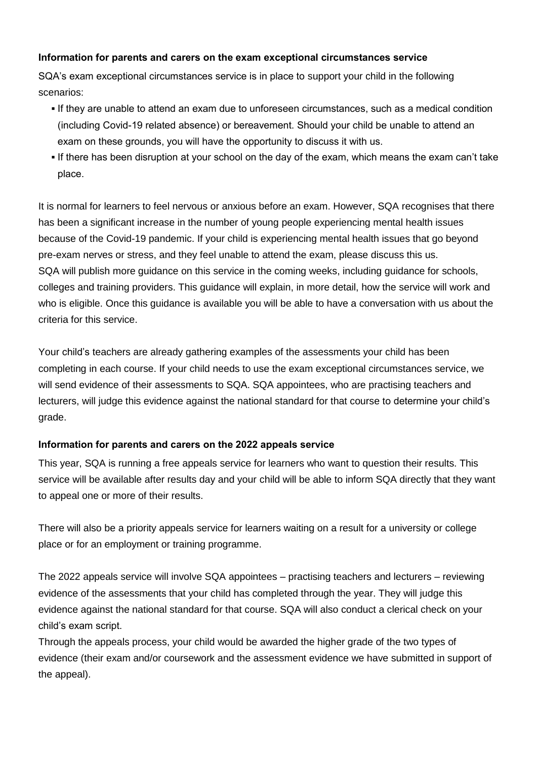## **Information for parents and carers on the exam exceptional circumstances service**

SQA's exam exceptional circumstances service is in place to support your child in the following scenarios:

- If they are unable to attend an exam due to unforeseen circumstances, such as a medical condition (including Covid-19 related absence) or bereavement. Should your child be unable to attend an exam on these grounds, you will have the opportunity to discuss it with us.
- If there has been disruption at your school on the day of the exam, which means the exam can't take place.

It is normal for learners to feel nervous or anxious before an exam. However, SQA recognises that there has been a significant increase in the number of young people experiencing mental health issues because of the Covid-19 pandemic. If your child is experiencing mental health issues that go beyond pre-exam nerves or stress, and they feel unable to attend the exam, please discuss this us. SQA will publish more guidance on this service in the coming weeks, including guidance for schools, colleges and training providers. This guidance will explain, in more detail, how the service will work and who is eligible. Once this guidance is available you will be able to have a conversation with us about the criteria for this service.

Your child's teachers are already gathering examples of the assessments your child has been completing in each course. If your child needs to use the exam exceptional circumstances service, we will send evidence of their assessments to SQA. SQA appointees, who are practising teachers and lecturers, will judge this evidence against the national standard for that course to determine your child's grade.

## **Information for parents and carers on the 2022 appeals service**

This year, SQA is running a free appeals service for learners who want to question their results. This service will be available after results day and your child will be able to inform SQA directly that they want to appeal one or more of their results.

There will also be a priority appeals service for learners waiting on a result for a university or college place or for an employment or training programme.

The 2022 appeals service will involve SQA appointees – practising teachers and lecturers – reviewing evidence of the assessments that your child has completed through the year. They will judge this evidence against the national standard for that course. SQA will also conduct a clerical check on your child's exam script.

Through the appeals process, your child would be awarded the higher grade of the two types of evidence (their exam and/or coursework and the assessment evidence we have submitted in support of the appeal).